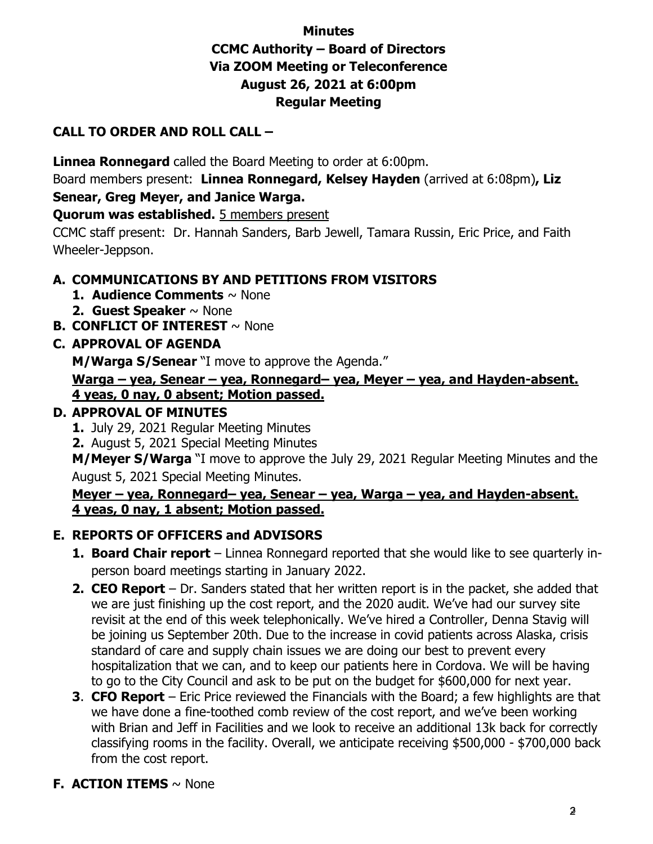# **Minutes CCMC Authority – Board of Directors Via ZOOM Meeting or Teleconference August 26, 2021 at 6:00pm Regular Meeting**

## **CALL TO ORDER AND ROLL CALL –**

**Linnea Ronnegard** called the Board Meeting to order at 6:00pm.

Board members present: **Linnea Ronnegard, Kelsey Hayden** (arrived at 6:08pm)**, Liz Senear, Greg Meyer, and Janice Warga.** 

**Quorum was established.** 5 members present

CCMC staff present: Dr. Hannah Sanders, Barb Jewell, Tamara Russin, Eric Price, and Faith Wheeler-Jeppson.

## **A. COMMUNICATIONS BY AND PETITIONS FROM VISITORS**

- **1. Audience Comments** ~ None
- **2. Guest Speaker** ~ None
- **B. CONFLICT OF INTEREST** ~ None

## **C. APPROVAL OF AGENDA**

**M/Warga S/Senear** "I move to approve the Agenda."

#### **Warga – yea, Senear – yea, Ronnegard– yea, Meyer – yea, and Hayden-absent. 4 yeas, 0 nay, 0 absent; Motion passed.**

## **D. APPROVAL OF MINUTES**

- **1.** July 29, 2021 Regular Meeting Minutes
- **2.** August 5, 2021 Special Meeting Minutes

**M/Meyer S/Warga** "I move to approve the July 29, 2021 Regular Meeting Minutes and the August 5, 2021 Special Meeting Minutes.

#### **Meyer – yea, Ronnegard– yea, Senear – yea, Warga – yea, and Hayden-absent. 4 yeas, 0 nay, 1 absent; Motion passed.**

## **E. REPORTS OF OFFICERS and ADVISORS**

- **1. Board Chair report** Linnea Ronnegard reported that she would like to see quarterly inperson board meetings starting in January 2022.
- **2. CEO Report** Dr. Sanders stated that her written report is in the packet, she added that we are just finishing up the cost report, and the 2020 audit. We've had our survey site revisit at the end of this week telephonically. We've hired a Controller, Denna Stavig will be joining us September 20th. Due to the increase in covid patients across Alaska, crisis standard of care and supply chain issues we are doing our best to prevent every hospitalization that we can, and to keep our patients here in Cordova. We will be having to go to the City Council and ask to be put on the budget for \$600,000 for next year.
- **3**. **CFO Report** Eric Price reviewed the Financials with the Board; a few highlights are that we have done a fine-toothed comb review of the cost report, and we've been working with Brian and Jeff in Facilities and we look to receive an additional 13k back for correctly classifying rooms in the facility. Overall, we anticipate receiving \$500,000 - \$700,000 back from the cost report.

# **F. ACTION ITEMS** ~ None